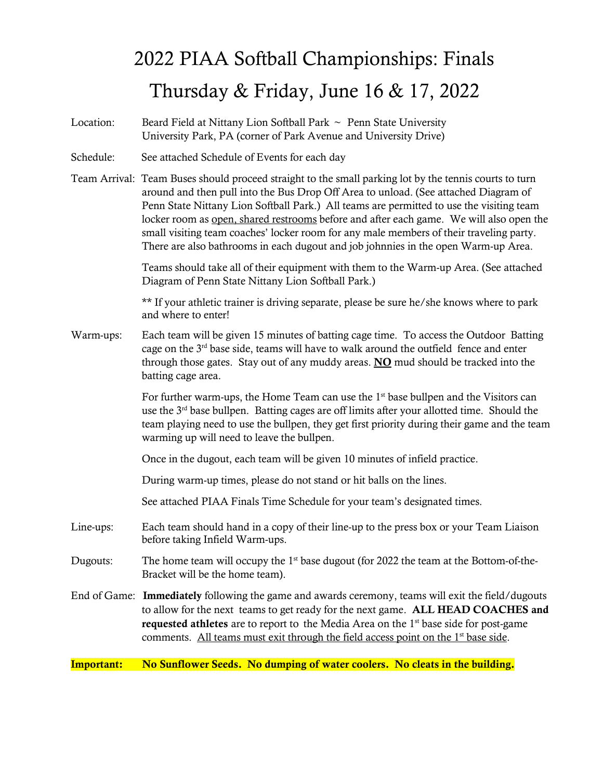## 2022 PIAA Softball Championships: Finals Thursday & Friday, June 16 & 17, 2022

Location: Beard Field at Nittany Lion Softball Park  $\sim$  Penn State University University Park, PA (corner of Park Avenue and University Drive)

- Schedule: See attached Schedule of Events for each day
- Team Arrival: Team Buses should proceed straight to the small parking lot by the tennis courts to turn around and then pull into the Bus Drop Off Area to unload. (See attached Diagram of Penn State Nittany Lion Softball Park.) All teams are permitted to use the visiting team locker room as open, shared restrooms before and after each game. We will also open the small visiting team coaches' locker room for any male members of their traveling party. There are also bathrooms in each dugout and job johnnies in the open Warm-up Area.

Teams should take all of their equipment with them to the Warm-up Area. (See attached Diagram of Penn State Nittany Lion Softball Park.)

\*\* If your athletic trainer is driving separate, please be sure he/she knows where to park and where to enter!

Warm-ups: Each team will be given 15 minutes of batting cage time. To access the Outdoor Batting cage on the 3<sup>rd</sup> base side, teams will have to walk around the outfield fence and enter through those gates. Stay out of any muddy areas.  $\overline{NO}$  mud should be tracked into the batting cage area.

> For further warm-ups, the Home Team can use the  $1<sup>st</sup>$  base bullpen and the Visitors can use the  $3<sup>rd</sup>$  base bullpen. Batting cages are off limits after your allotted time. Should the team playing need to use the bullpen, they get first priority during their game and the team warming up will need to leave the bullpen.

Once in the dugout, each team will be given 10 minutes of infield practice.

During warm-up times, please do not stand or hit balls on the lines.

See attached PIAA Finals Time Schedule for your team's designated times.

- Line-ups: Each team should hand in a copy of their line-up to the press box or your Team Liaison before taking Infield Warm-ups.
- Dugouts: The home team will occupy the  $1<sup>st</sup>$  base dugout (for 2022 the team at the Bottom-of-the-Bracket will be the home team).
- End of Game: Immediately following the game and awards ceremony, teams will exit the field/dugouts to allow for the next teams to get ready for the next game. ALL HEAD COACHES and **requested athletes** are to report to the Media Area on the  $1<sup>st</sup>$  base side for post-game comments. All teams must exit through the field access point on the 1<sup>st</sup> base side.

Important: No Sunflower Seeds. No dumping of water coolers. No cleats in the building.